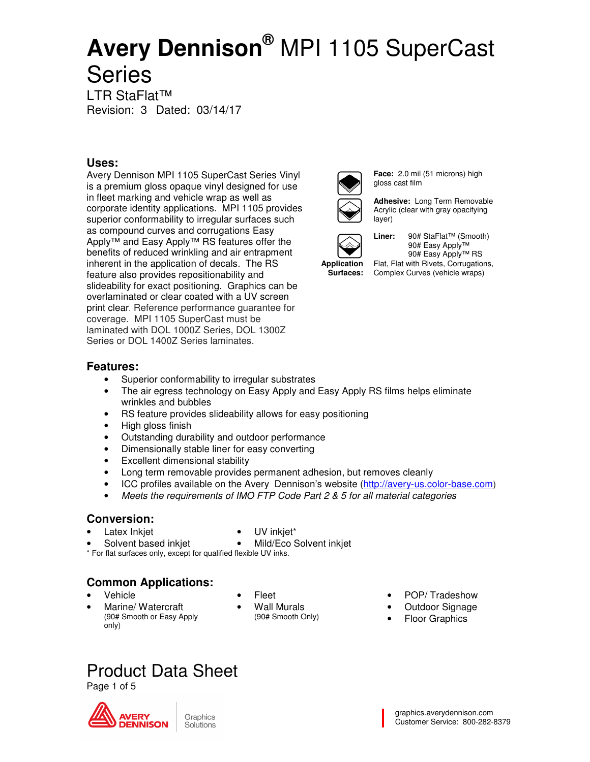LTR StaFlat™ Revision: 3 Dated: 03/14/17

### **Uses:**

Avery Dennison MPI 1105 SuperCast Series Vinyl is a premium gloss opaque vinyl designed for use in fleet marking and vehicle wrap as well as corporate identity applications. MPI 1105 provides superior conformability to irregular surfaces such as compound curves and corrugations Easy Apply™ and Easy Apply™ RS features offer the benefits of reduced wrinkling and air entrapment inherent in the application of decals. The RS feature also provides repositionability and slideability for exact positioning. Graphics can be overlaminated or clear coated with a UV screen print clear. Reference performance guarantee for coverage. MPI 1105 SuperCast must be laminated with DOL 1000Z Series, DOL 1300Z Series or DOL 14007 Series laminates



**Face:** 2.0 mil (51 microns) high gloss cast film

**Adhesive:** Long Term Removable Acrylic (clear with gray opacifying layer)



**Application Surfaces:** 

**Liner:** 90# StaFlat™ (Smooth) 90# Easy Apply™ 90# Easy Apply™ RS Flat, Flat with Rivets, Corrugations, Complex Curves (vehicle wraps)

### **Features:**

- Superior conformability to irregular substrates
- The air egress technology on Easy Apply and Easy Apply RS films helps eliminate wrinkles and bubbles
- RS feature provides slideability allows for easy positioning
- High gloss finish
- Outstanding durability and outdoor performance
- Dimensionally stable liner for easy converting
- Excellent dimensional stability
- Long term removable provides permanent adhesion, but removes cleanly
- ICC profiles available on the Avery Dennison's website (http://avery-us.color-base.com)
- Meets the requirements of IMO FTP Code Part 2  $& 85$  for all material categories

### **Conversion:**

Latex Inkjet

- UV inkjet\*
- Solvent based inkiet • Mild/Eco Solvent inkjet

\* For flat surfaces only, except for qualified flexible UV inks.

### **Common Applications:**

- Vehicle
	- Marine/ Watercraft (90# Smooth or Easy Apply only)
- Fleet
- Wall Murals (90# Smooth Only)
- POP/ Tradeshow
- Outdoor Signage
- **Floor Graphics**

## Product Data Sheet

Page 1 of 5

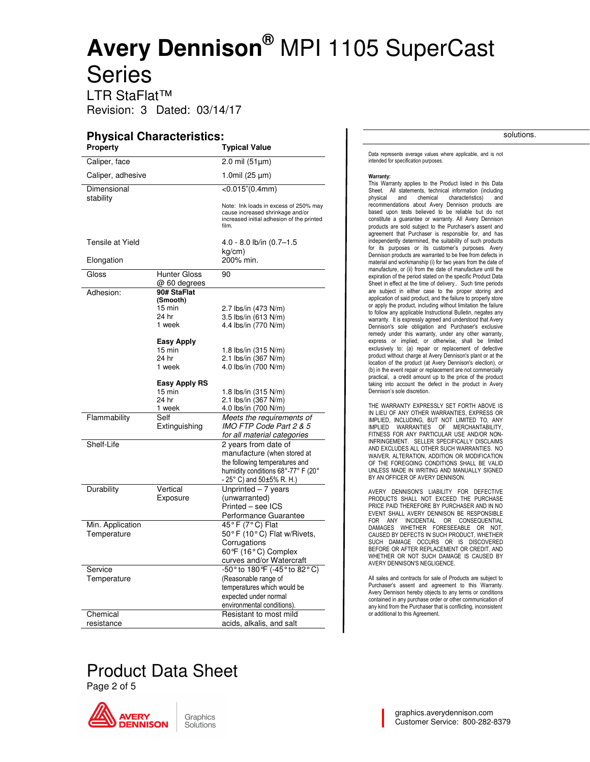LTR StaFlat™ Revision: 3 Dated: 03/14/17

#### **Physical Characteristics:**

| Property          | Pilysical Characteristics           | <b>Typical Value</b>                                                                                                            |
|-------------------|-------------------------------------|---------------------------------------------------------------------------------------------------------------------------------|
| Caliper, face     |                                     | 2.0 mil $(51 \mu m)$                                                                                                            |
| Caliper, adhesive |                                     | 1.0mil (25 µm)                                                                                                                  |
| Dimensional       |                                     | $<$ 0.015" $(0.4$ mm $)$                                                                                                        |
| stability         |                                     | Note: Ink loads in excess of 250% may<br>cause increased shrinkage and/or<br>increased initial adhesion of the printed<br>film. |
| Tensile at Yield  |                                     | 4.0 - 8.0 lb/in (0.7-1.5                                                                                                        |
| Elongation        |                                     | $kq/cm$ )<br>200% min.                                                                                                          |
| Gloss             | <b>Hunter Gloss</b><br>@ 60 degrees | 90                                                                                                                              |
| Adhesion:         | 90# StaFlat                         |                                                                                                                                 |
|                   | (Smooth)                            |                                                                                                                                 |
|                   | 15 min                              | 2.7 lbs/in (473 N/m)                                                                                                            |
|                   | 24 hr                               | 3.5 lbs/in (613 N/m)                                                                                                            |
|                   | 1 week                              | 4.4 lbs/in (770 N/m)                                                                                                            |
|                   | <b>Easy Apply</b>                   |                                                                                                                                 |
|                   | 15 min                              | 1.8 lbs/in (315 N/m)                                                                                                            |
|                   | 24 hr                               | 2.1 lbs/in (367 N/m)                                                                                                            |
|                   | 1 week                              | 4.0 lbs/in (700 N/m)                                                                                                            |
|                   | <b>Easy Apply RS</b>                |                                                                                                                                 |
|                   | 15 min                              | 1.8 lbs/in (315 N/m)                                                                                                            |
|                   | 24 hr                               | 2.1 lbs/in (367 N/m)                                                                                                            |
|                   | 1 week                              | 4.0 lbs/in (700 N/m)                                                                                                            |
| Flammability      | Self                                | Meets the requirements of                                                                                                       |
|                   | Extinguishing                       | IMO FTP Code Part 2 & 5                                                                                                         |
|                   |                                     | for all material categories                                                                                                     |
| Shelf-Life        |                                     | 2 years from date of                                                                                                            |
|                   |                                     | manufacture (when stored at                                                                                                     |
|                   |                                     | the following temperatures and                                                                                                  |
|                   |                                     | humidity conditions 68°-77° F (20°<br>- 25° C) and 50±5% R. H.)                                                                 |
| Durability        | Vertical                            | Unprinted $-7$ years                                                                                                            |
|                   | Exposure                            | (unwarranted)                                                                                                                   |
|                   |                                     | Printed - see ICS                                                                                                               |
|                   |                                     | Performance Guarantee                                                                                                           |
| Min. Application  |                                     | 45°F (7°C) Flat                                                                                                                 |
| Temperature       |                                     | $50^{\circ}$ F (10 $^{\circ}$ C) Flat w/Rivets,                                                                                 |
|                   |                                     | Corrugations<br>60°F (16°C) Complex                                                                                             |
|                   |                                     | curves and/or Watercraft                                                                                                        |
| Service           |                                     | -50° to 180°F (-45° to 82°C)                                                                                                    |
| Temperature       |                                     | (Reasonable range of                                                                                                            |
|                   |                                     | temperatures which would be                                                                                                     |
|                   |                                     | expected under normal                                                                                                           |
|                   |                                     | environmental conditions).                                                                                                      |
| Chemical          |                                     | Resistant to most mild                                                                                                          |
| resistance        |                                     | acids, alkalis, and salt                                                                                                        |

solutions.

Data represents average values where applicable, and is not intended for specification purposes.

#### Warranty:

This Warranty applies to the Product listed in this Data Sheet. All statements, technical information (including physical and chemical characteristics) and recommendations about Avery Dennison products are based upon tests believed to be reliable but do not constitute a guarantee or warranty. All Avery Dennison products are sold subject to the Purchaser's assent and agreement that Purchaser is responsible for, and has independently determined, the suitability of such products for its purposes or its customer's purposes. Avery Dennison products are warranted to be free from defects in material and workmanship (i) for two years from the date of manufacture, or (ii) from the date of manufacture until the expiration of the period stated on the specific Product Data Sheet in effect at the time of delivery.. Such time periods are subject in either case to the proper storing and application of said product, and the failure to properly store or apply the product, including without limitation the failure to follow any applicable Instructional Bulletin, negates any warranty. It is expressly agreed and understood that Avery Dennison's sole obligation and Purchaser's exclusive remedy under this warranty, under any other warranty, express or implied, or otherwise, shall be limited exclusively to: (a) repair or replacement of defective product without charge at Avery Dennison's plant or at the location of the product (at Avery Dennison's election), or (b) in the event repair or replacement are not commercially practical, a credit amount up to the price of the product taking into account the defect in the product in Avery Dennison's sole discretion.

THE WARRANTY EXPRESSLY SET FORTH ABOVE IS IN LIEU OF ANY OTHER WARRANTIES, EXPRESS OR IMPLIED, INCLUDING, BUT NOT LIMITED TO, ANY WARRANTIES OF MERCHANTABILITY, FITNESS FOR ANY PARTICULAR USE AND/OR NON-INFRINGEMENT. SELLER SPECIFICALLY DISCLAIMS AND EXCLUDES ALL OTHER SUCH WARRANTIES. NO WAIVER, ALTERATION, ADDITION OR MODIFICATION OF THE FOREGOING CONDITIONS SHALL BE VALID UNLESS MADE IN WRITING AND MANUALLY SIGNED BY AN OFFICER OF AVERY DENNISON.

AVERY DENNISON'S LIABILITY FOR DEFECTIVE PRODUCTS SHALL NOT EXCEED THE PURCHASE PRICE PAID THEREFORE BY PURCHASER AND IN NO EVENT SHALL AVERY DENNISON BE RESPONSIBLE FOR ANY INCIDENTAL OR CONSEQUENTIAL DAMAGES WHETHER FORESEEABLE OR NOT, CAUSED BY DEFECTS IN SUCH PRODUCT, WHETHER SUCH DAMAGE OCCURS OR IS DISCOVERED BEFORE OR AFTER REPLACEMENT OR CREDIT, AND WHETHER OR NOT SUCH DAMAGE IS CAUSED BY AVERY DENNISON'S NEGLIGENCE.

All sales and contracts for sale of Products are subject to Purchaser's assent and agreement to this Warranty. Avery Dennison hereby objects to any terms or conditions contained in any purchase order or other communication of any kind from the Purchaser that is conflicting, inconsistent or additional to this Agreement.

## Product Data Sheet

Page 2 of 5

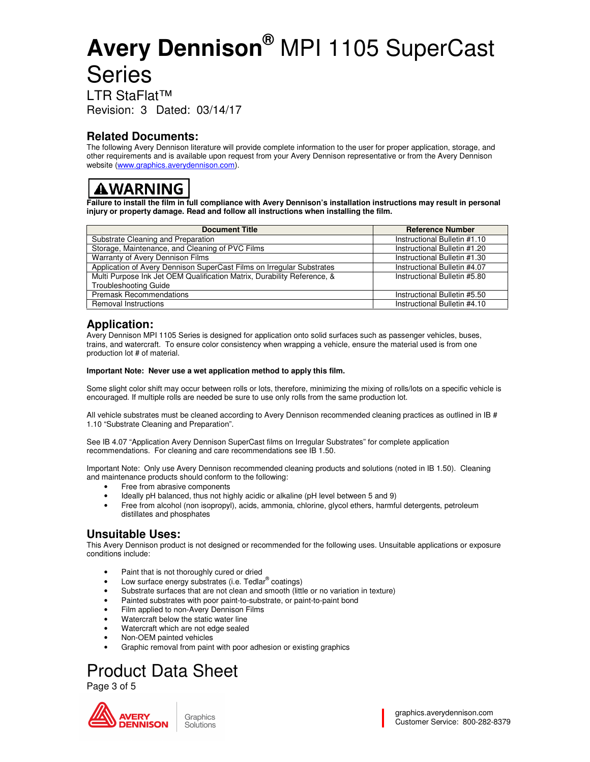LTR StaFlat™ Revision: 3 Dated: 03/14 03/14/17

### **Related Documents:**

The following Avery Dennison literature will provide complete information to the user for proper application, storage, and other requirements and is available upon request from your Avery Dennison representative or from the Avery Dennison website (www.graphics.averydennison.com). The following Avery Dennison literature will provide complete information to the user for proper application, storage,<br>other requirements and is available upon request from your Avery Dennison representative or from the Av

### **AWARNING**

**Failure to install the film in full compliance with Avery Dennison's installation instructions may result in personal**  injury or property damage. Read and follow all instructions when installing the film.

| <b>Document Title</b>                                                   | <b>Reference Number</b>      |
|-------------------------------------------------------------------------|------------------------------|
| Substrate Cleaning and Preparation                                      | Instructional Bulletin #1.10 |
| Storage, Maintenance, and Cleaning of PVC Films                         | Instructional Bulletin #1.20 |
| Warranty of Avery Dennison Films                                        | Instructional Bulletin #1.30 |
| Application of Avery Dennison SuperCast Films on Irregular Substrates   | Instructional Bulletin #4.07 |
| Multi Purpose Ink Jet OEM Qualification Matrix, Durability Reference, & | Instructional Bulletin #5.80 |
| <b>Troubleshooting Guide</b>                                            |                              |
| <b>Premask Recommendations</b>                                          | Instructional Bulletin #5.50 |
| <b>Removal Instructions</b>                                             | Instructional Bulletin #4.10 |

### **Application:**

Avery Dennison MPI 1105 Series is designed for application onto solid surfaces such as passenger vehicles, buses, Avery Dennison MPI 1105 Series is designed for application onto solid surfaces such as passenger vehicles, buses<br>trains, and watercraft. To ensure color consistency when wrapping a vehicle, ensure the material used is fro production lot # of material.

#### **Important Note: Never use a wet application method to apply this film.**

Some slight color shift may occur between rolls or lots, therefore, minimizing the mixing of rolls/lots on a specific vehicle is Some slight color shift may occur between rolls or lots, therefore, minimizing the mixing of rolls/lots<br>encouraged. If multiple rolls are needed be sure to use only rolls from the same production lot.

All vehicle substrates must be cleaned according to Avery Dennison recommended cleaning practices as outlined in IB # 1.10 "Substrate Cleaning and Preparation". All vehicle substrates must be cleaned according to Avery Dennison recommended cleaning practices as o<br>1.10 "Substrate Cleaning and Preparation".<br>See IB 4.07 "Application Avery Dennison SuperCast films on Irregular Substra

recommendations. For cleaning and care recommendations see IB 1.50.

Important Note: Only use Avery Dennison recommended cleaning products and solutions (noted in IB 1.50). Cleaning<br>and maintenance products should conform to the following: and maintenance products should conform to the following:

- Free from abrasive components
- Ideally pH balanced, thus not highly acidic or alkaline (pH level between 5 and 9)
- Free from alcohol (non isopropyl), acids, ammonia, chlorine, glycol ethers, harmful detergents, petroleum distillates and phosphates

### **Unsuitable Uses:**

This Avery Dennison product is not designed or recommended for the following uses. Unsuitable applications or exposure conditions include: Free from abrasive components<br>
• Ideally pH balanced, thus not highly acidic or alkaline (pH level between 5 and 9)<br>
• Free from alcohol (non isopropyl), acids, ammonia, chlorine, glycol ethers, harmful detergents, petrole

- Paint that is not thoroughly cured or dried
- $\bullet$  Low surface energy substrates (i.e. Tedlar<sup>®</sup> coatings)
- Substrate surfaces that are not clean and smooth (little or no variation in texture)
- Substrate surfaces that are not clean and smooth (little or no variation in<br>• Painted substrates with poor paint-to-substrate, or paint-to-paint bond
- Film applied to non-Avery Dennison Films
- Watercraft below the static water line
- Watercraft which are not edge sealed
- Non-OEM painted vehicles
- Graphic removal from paint with poor adhesion or existing graphics

### Product Data Sheet

Page 3 of 5

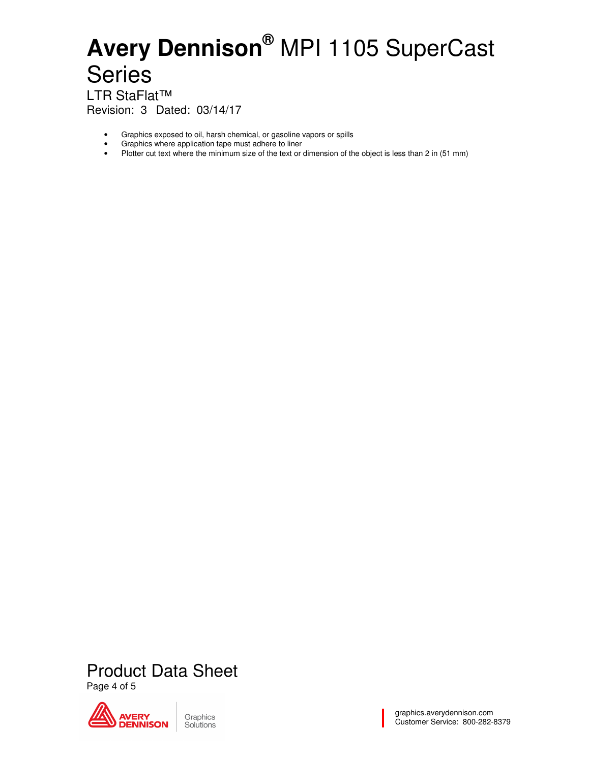LTR StaFlat™ Revision: 3 Dated: 03/14/17

- Graphics exposed to oil, harsh chemical, or gasoline vapors or spills
- Graphics where application tape must adhere to liner<br>• Plotter cut text where the minimum size of the text or
- Plotter cut text where the minimum size of the text or dimension of the object is less than 2 in (51 mm)

Product Data Sheet Page 4 of 5